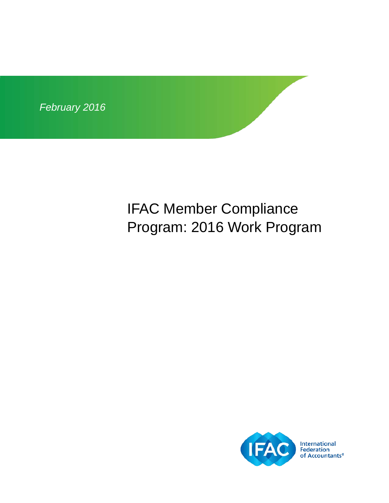

# IFAC Member Compliance Program: 2016 Work Program

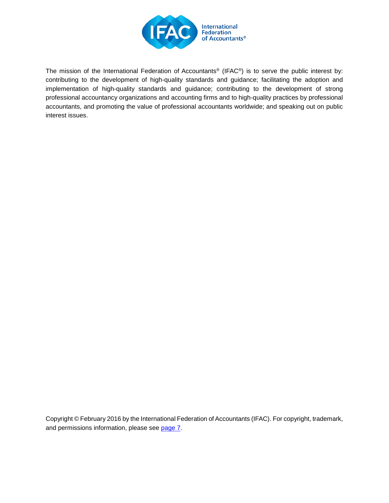

The mission of the International Federation of Accountants® (IFAC®) is to serve the public interest by: contributing to the development of high-quality standards and guidance; facilitating the adoption and implementation of high-quality standards and guidance; contributing to the development of strong professional accountancy organizations and accounting firms and to high-quality practices by professional accountants, and promoting the value of professional accountants worldwide; and speaking out on public interest issues.

Copyright © February 2016 by the International Federation of Accountants (IFAC). For copyright, trademark, and permissions information, please see [page 7.](#page-6-0)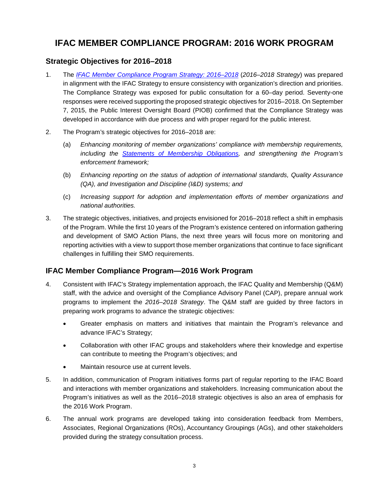## **IFAC MEMBER COMPLIANCE PROGRAM: 2016 WORK PROGRAM**

### **Strategic Objectives for 2016–2018**

- 1. The *[IFAC Member Compliance Program Strategy: 2016–2018](http://www.ifac.org/publications-resources/ifac-member-compliance-program-strategy-2016-2018)* (*2016–2018 Strategy*) was prepared in alignment with the IFAC Strategy to ensure consistency with organization's direction and priorities. The Compliance Strategy was exposed for public consultation for a 60–day period. Seventy-one responses were received supporting the proposed strategic objectives for 2016–2018. On September 7, 2015, the Public Interest Oversight Board (PIOB) confirmed that the Compliance Strategy was developed in accordance with due process and with proper regard for the public interest.
- 2. The Program's strategic objectives for 2016–2018 are:
	- (a) *Enhancing monitoring of member organizations' compliance with membership requirements, including the [Statements of Membership Obligations,](http://www.ifac.org/publications-resources/statements-membership-obligations-smos-1-7-revised) and strengthening the Program's enforcement framework;*
	- (b) *Enhancing reporting on the status of adoption of international standards, Quality Assurance (QA), and Investigation and Discipline (I&D) systems; and*
	- (c) *Increasing support for adoption and implementation efforts of member organizations and national authorities.*
- 3. The strategic objectives, initiatives, and projects envisioned for 2016–2018 reflect a shift in emphasis of the Program. While the first 10 years of the Program's existence centered on information gathering and development of SMO Action Plans, the next three years will focus more on monitoring and reporting activities with a view to support those member organizations that continue to face significant challenges in fulfilling their SMO requirements.

### **IFAC Member Compliance Program—2016 Work Program**

- 4. Consistent with IFAC's Strategy implementation approach, the IFAC Quality and Membership (Q&M) staff, with the advice and oversight of the Compliance Advisory Panel (CAP), prepare annual work programs to implement the *2016–2018 Strategy*. The Q&M staff are guided by three factors in preparing work programs to advance the strategic objectives:
	- Greater emphasis on matters and initiatives that maintain the Program's relevance and advance IFAC's Strategy;
	- Collaboration with other IFAC groups and stakeholders where their knowledge and expertise can contribute to meeting the Program's objectives; and
	- Maintain resource use at current levels.
- 5. In addition, communication of Program initiatives forms part of regular reporting to the IFAC Board and interactions with member organizations and stakeholders. Increasing communication about the Program's initiatives as well as the 2016–2018 strategic objectives is also an area of emphasis for the 2016 Work Program.
- 6. The annual work programs are developed taking into consideration feedback from Members, Associates, Regional Organizations (ROs), Accountancy Groupings (AGs), and other stakeholders provided during the strategy consultation process.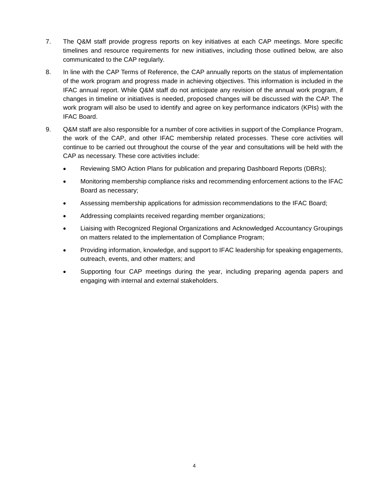- 7. The Q&M staff provide progress reports on key initiatives at each CAP meetings. More specific timelines and resource requirements for new initiatives, including those outlined below, are also communicated to the CAP regularly.
- 8. In line with the CAP Terms of Reference, the CAP annually reports on the status of implementation of the work program and progress made in achieving objectives. This information is included in the IFAC annual report. While Q&M staff do not anticipate any revision of the annual work program, if changes in timeline or initiatives is needed, proposed changes will be discussed with the CAP. The work program will also be used to identify and agree on key performance indicators (KPIs) with the IFAC Board.
- 9. Q&M staff are also responsible for a number of core activities in support of the Compliance Program, the work of the CAP, and other IFAC membership related processes. These core activities will continue to be carried out throughout the course of the year and consultations will be held with the CAP as necessary. These core activities include:
	- Reviewing SMO Action Plans for publication and preparing Dashboard Reports (DBRs);
	- Monitoring membership compliance risks and recommending enforcement actions to the IFAC Board as necessary;
	- Assessing membership applications for admission recommendations to the IFAC Board;
	- Addressing complaints received regarding member organizations;
	- Liaising with Recognized Regional Organizations and Acknowledged Accountancy Groupings on matters related to the implementation of Compliance Program;
	- Providing information, knowledge, and support to IFAC leadership for speaking engagements, outreach, events, and other matters; and
	- Supporting four CAP meetings during the year, including preparing agenda papers and engaging with internal and external stakeholders.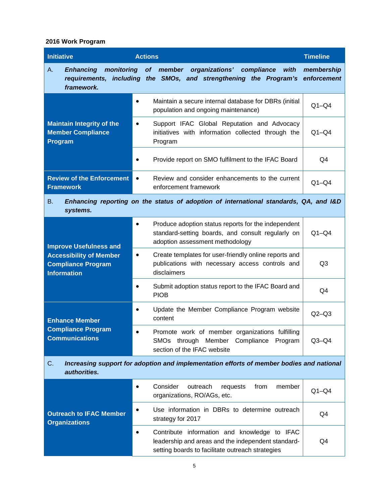#### **2016 Work Program**

| <b>Initiative</b>                                                                                                       | <b>Actions</b>                                                                                                                                           | <b>Timeline</b>           |  |
|-------------------------------------------------------------------------------------------------------------------------|----------------------------------------------------------------------------------------------------------------------------------------------------------|---------------------------|--|
| <b>Enhancing</b><br>monitoring<br>А.<br>requirements,<br>framework.                                                     | member<br>organizations' compliance<br><b>of</b><br>with<br>including the SMOs, and strengthening the Program's                                          | membership<br>enforcement |  |
| <b>Maintain Integrity of the</b><br><b>Member Compliance</b><br>Program                                                 | Maintain a secure internal database for DBRs (initial<br>$\bullet$<br>population and ongoing maintenance)                                                | $Q1 - Q4$                 |  |
|                                                                                                                         | Support IFAC Global Reputation and Advocacy<br>$\bullet$<br>initiatives with information collected through the<br>Program                                | $Q1 - Q4$                 |  |
|                                                                                                                         | Provide report on SMO fulfilment to the IFAC Board                                                                                                       | Q4                        |  |
| <b>Review of the Enforcement</b><br><b>Framework</b>                                                                    | Review and consider enhancements to the current<br>$\bullet$<br>enforcement framework                                                                    | $Q1 - Q4$                 |  |
| Enhancing reporting on the status of adoption of international standards, QA, and I&D<br>B.<br>systems.                 |                                                                                                                                                          |                           |  |
| <b>Improve Usefulness and</b><br><b>Accessibility of Member</b><br><b>Compliance Program</b><br><b>Information</b>      | Produce adoption status reports for the independent<br>$\bullet$<br>standard-setting boards, and consult regularly on<br>adoption assessment methodology | $Q1 - Q4$                 |  |
|                                                                                                                         | Create templates for user-friendly online reports and<br>$\bullet$<br>publications with necessary access controls and<br>disclaimers                     | Q <sub>3</sub>            |  |
|                                                                                                                         | Submit adoption status report to the IFAC Board and<br>$\bullet$<br><b>PIOB</b>                                                                          | Q4                        |  |
| <b>Enhance Member</b><br><b>Compliance Program</b><br><b>Communications</b>                                             | Update the Member Compliance Program website<br>content                                                                                                  | $Q2-Q3$                   |  |
|                                                                                                                         | Promote work of member organizations fulfilling<br>SMOs through Member Compliance<br>Program<br>section of the IFAC website                              | $Q3-Q4$                   |  |
| Increasing support for adoption and implementation efforts of member bodies and national<br>$C_{\cdot}$<br>authorities. |                                                                                                                                                          |                           |  |
| <b>Outreach to IFAC Member</b><br><b>Organizations</b>                                                                  | Consider<br>from<br>member<br>outreach<br>requests<br>organizations, RO/AGs, etc.                                                                        | $Q1 - Q4$                 |  |
|                                                                                                                         | Use information in DBRs to determine outreach<br>٠<br>strategy for 2017                                                                                  | Q4                        |  |
|                                                                                                                         | Contribute information and knowledge to IFAC<br>leadership and areas and the independent standard-<br>setting boards to facilitate outreach strategies   | Q4                        |  |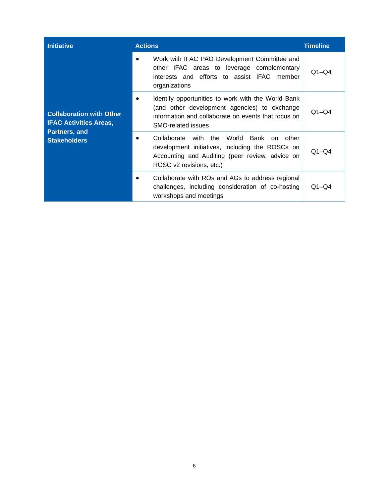| <b>Initiative</b>                                                                                        | <b>Actions</b>                                                                                                                                                                         | <b>Timeline</b> |
|----------------------------------------------------------------------------------------------------------|----------------------------------------------------------------------------------------------------------------------------------------------------------------------------------------|-----------------|
| <b>Collaboration with Other</b><br><b>IFAC Activities Areas,</b><br>Partners, and<br><b>Stakeholders</b> | Work with IFAC PAO Development Committee and<br>other IFAC areas to leverage complementary<br>interests and efforts to assist IFAC member<br>organizations                             | $Q1 - Q4$       |
|                                                                                                          | Identify opportunities to work with the World Bank<br>(and other development agencies) to exchange<br>information and collaborate on events that focus on<br><b>SMO-related issues</b> | $Q1 - Q4$       |
|                                                                                                          | with the World Bank on other<br>Collaborate<br>development initiatives, including the ROSCs on<br>Accounting and Auditing (peer review, advice on<br>ROSC v2 revisions, etc.)          | $Q1 - Q4$       |
|                                                                                                          | Collaborate with ROs and AGs to address regional<br>challenges, including consideration of co-hosting<br>workshops and meetings                                                        | $Q1 - Q4$       |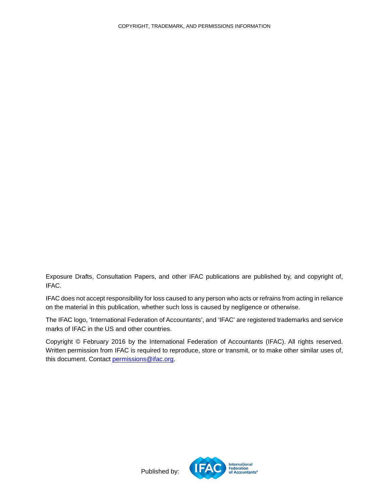Exposure Drafts, Consultation Papers, and other IFAC publications are published by, and copyright of, IFAC.

IFAC does not accept responsibility for loss caused to any person who acts or refrains from acting in reliance on the material in this publication, whether such loss is caused by negligence or otherwise.

The IFAC logo, 'International Federation of Accountants', and 'IFAC' are registered trademarks and service marks of IFAC in the US and other countries.

<span id="page-6-0"></span>Copyright © February 2016 by the International Federation of Accountants (IFAC). All rights reserved. Written permission from IFAC is required to reproduce, store or transmit, or to make other similar uses of, this document. Contact [permissions@ifac.org.](mailto:permissions@ifac.org)



Published by: